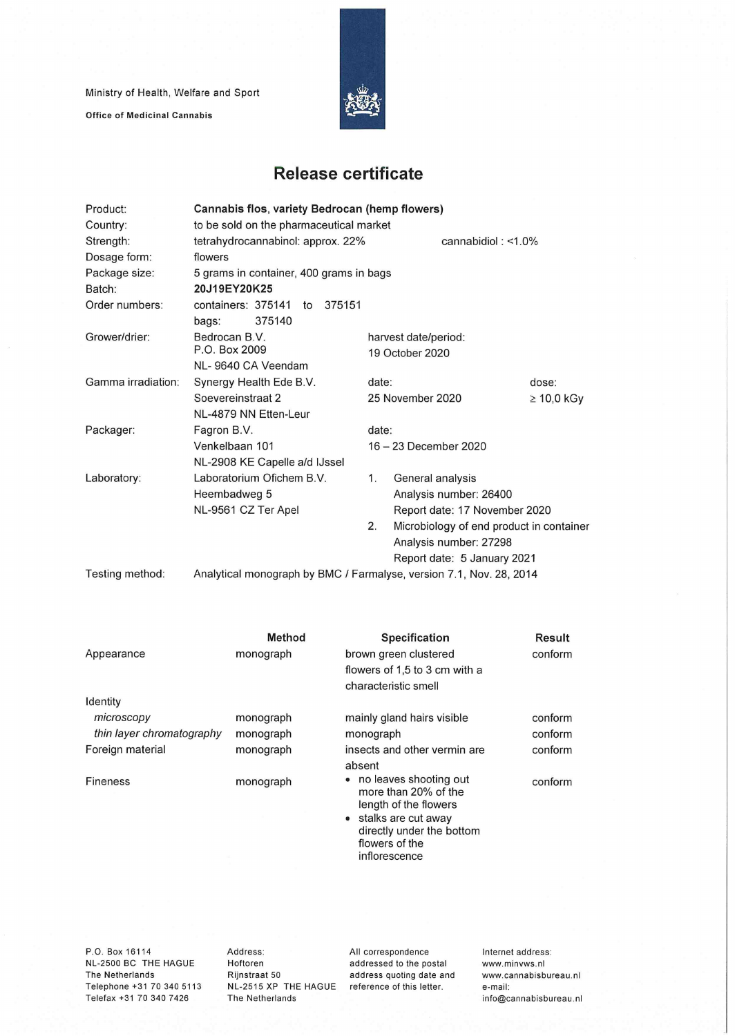Ministry of Health, Welfare and Sport

**Office of Medicinal Cannabis** 



## **Release certificate**

| Product:           | Cannabis flos, variety Bedrocan (hemp flowers)                      |  |                       |                                          |  |  |  |
|--------------------|---------------------------------------------------------------------|--|-----------------------|------------------------------------------|--|--|--|
| Country:           | to be sold on the pharmaceutical market                             |  |                       |                                          |  |  |  |
| Strength:          | tetrahydrocannabinol: approx. 22%<br>cannabidiol: $<$ 1.0%          |  |                       |                                          |  |  |  |
| Dosage form:       | flowers                                                             |  |                       |                                          |  |  |  |
| Package size:      | 5 grams in container, 400 grams in bags                             |  |                       |                                          |  |  |  |
| Batch:             | 20J19EY20K25                                                        |  |                       |                                          |  |  |  |
| Order numbers:     | containers: 375141 to 375151                                        |  |                       |                                          |  |  |  |
|                    | 375140<br>bags:                                                     |  |                       |                                          |  |  |  |
| Grower/drier:      | Bedrocan B.V.                                                       |  | harvest date/period:  |                                          |  |  |  |
|                    | P.O. Box 2009                                                       |  | 19 October 2020       |                                          |  |  |  |
|                    | NL-9640 CA Veendam                                                  |  |                       |                                          |  |  |  |
| Gamma irradiation: | Synergy Health Ede B.V.<br>Soevereinstraat 2                        |  |                       | date:<br>dose:                           |  |  |  |
|                    |                                                                     |  |                       | 25 November 2020<br>$\geq 10,0$ kGy      |  |  |  |
|                    | NL-4879 NN Etten-Leur                                               |  |                       |                                          |  |  |  |
| Packager:          | Fagron B.V.                                                         |  | date:                 |                                          |  |  |  |
|                    | Venkelbaan 101                                                      |  | 16 - 23 December 2020 |                                          |  |  |  |
|                    | NL-2908 KE Capelle a/d IJssel                                       |  |                       |                                          |  |  |  |
| Laboratory:        | Laboratorium Ofichem B.V.<br>Heembadweg 5<br>NL-9561 CZ Ter Apel    |  | 1.                    | General analysis                         |  |  |  |
|                    |                                                                     |  |                       | Analysis number: 26400                   |  |  |  |
|                    |                                                                     |  |                       | Report date: 17 November 2020            |  |  |  |
|                    |                                                                     |  | 2.                    | Microbiology of end product in container |  |  |  |
|                    |                                                                     |  |                       | Analysis number: 27298                   |  |  |  |
|                    |                                                                     |  |                       | Report date: 5 January 2021              |  |  |  |
| Testing method:    | Analytical monograph by BMC / Farmalyse, version 7.1, Nov. 28, 2014 |  |                       |                                          |  |  |  |

| <b>Method</b> | <b>Specification</b>                                                                                                  | Result                                              |
|---------------|-----------------------------------------------------------------------------------------------------------------------|-----------------------------------------------------|
| monograph     | brown green clustered                                                                                                 | conform                                             |
|               | flowers of 1,5 to 3 cm with a                                                                                         |                                                     |
|               | characteristic smell                                                                                                  |                                                     |
|               |                                                                                                                       |                                                     |
| monograph     | mainly gland hairs visible                                                                                            | conform                                             |
| monograph     | monograph                                                                                                             | conform                                             |
| monograph     | insects and other vermin are                                                                                          | conform                                             |
|               |                                                                                                                       |                                                     |
| monograph     | more than 20% of the<br>length of the flowers<br>• stalks are cut away<br>directly under the bottom<br>flowers of the | conform                                             |
|               |                                                                                                                       | absent<br>• no leaves shooting out<br>inflorescence |

P.O. Box 16114 NL-2500 BC THE HAGUE The Netherlands Telephone +31 70 340 5113 Telefax +31 70 340 7426

Address: Hoftoren Rijnstraat 50 NL-2515 XP THE HAGUE reference of this letter. The Netherlands

All correspondence addressed to the postai address quoting date and Internet address: www.minvws.n1 www.cannabisbureau.nl e-mail: info@cannabisbureau.nl